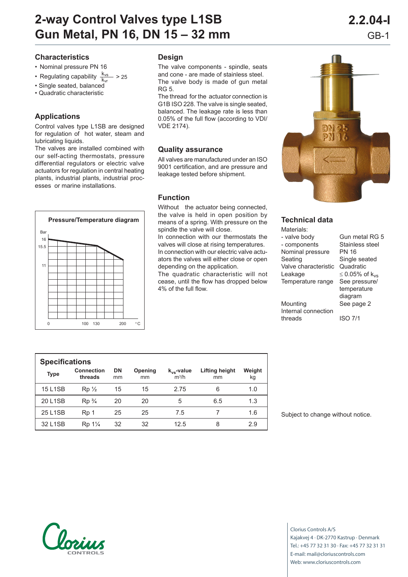# **2-way Control Valves type L1SB Gun Metal, PN 16, DN 15 – 32 mm** GB-1

**2.2.04-I**

### **Characteristics**

- Nominal pressure PN 16
- Regulating capability  $\frac{k_{vs}}{k_{vs}} > 25$
- Single seated, balanced
- Quadratic characteristic

# **Applications**

Control valves type L1SB are designed for regulation of hot water, steam and lubricating liquids.

The valves are installed combined with our self-acting thermostats, pressure differential regulators or electric valve actuators for regulation in central heating plants, industrial plants, industrial processes or marine installations.



### **Design**

The valve components - spindle, seats and cone - are made of stainless steel. The valve body is made of gun metal RG 5.

The thread for the actuator connection is G1B ISO 228. The valve is single seated, balanced. The leakage rate is less than 0.05% of the full flow (according to VDI/ VDE 2174).

#### **Quality assurance**

All valves are manufactured under an ISO 9001 certification, and are pressure and leakage tested before shipment.

### **Function**

Without the actuator being connected, the valve is held in open position by means of a spring. With pressure on the spindle the valve will close.

In connection with our thermostats the valves will close at rising temperatures. In connection with our electric valve actuators the valves will either close or open depending on the application.

The quadratic characteristic will not cease, until the flow has dropped below 4% of the full flow.



### **Technical data**

Materials:<br>- valve body - components Stainless steel<br>Nominal pressure PN 16 Nominal pressure Seating Single seated Valve characteristic Quadratic Leakage  $\leq 0.05\%$  of k<sub>vs</sub><br>Temperature range See pressure/ Temperature range

Internal connection

Gun metal RG 5 temperature diagram Mounting See page 2

threads ISO 7/1

| <b>Specifications</b> |                                  |                 |               |                            |                      |              |  |  |  |  |  |  |
|-----------------------|----------------------------------|-----------------|---------------|----------------------------|----------------------|--------------|--|--|--|--|--|--|
| <b>Type</b>           | <b>Connection</b><br>threads     | <b>DN</b><br>mm | Opening<br>mm | $k_{vs}$ -value<br>$m^3/h$ | Lifting height<br>mm | Weight<br>kg |  |  |  |  |  |  |
| <b>15 L1SB</b>        | $Rp\frac{1}{2}$                  | 15              | 15            | 6<br>2.75                  |                      | 1.0          |  |  |  |  |  |  |
| <b>20 L1SB</b>        | $Rp\frac{3}{4}$                  | 20              | 20            | 5<br>6.5                   |                      | 1.3          |  |  |  |  |  |  |
| 25 L1SB               | Rp 1                             | 25              | 25            | 7.5                        |                      | 1.6          |  |  |  |  |  |  |
| 32 L1SB               | Rp 1 <sup>1</sup> / <sub>4</sub> | 32              | 32            | 12.5                       | 8                    | 2.9          |  |  |  |  |  |  |

Subject to change without notice.



Clorius Controls A/S Kajakvej 4 · DK-2770 Kastrup · Denmark Tel.: +45 77 32 31 30 · Fax: +45 77 32 31 31 E-mail: mail@cloriuscontrols.com Web: www.cloriuscontrols.com